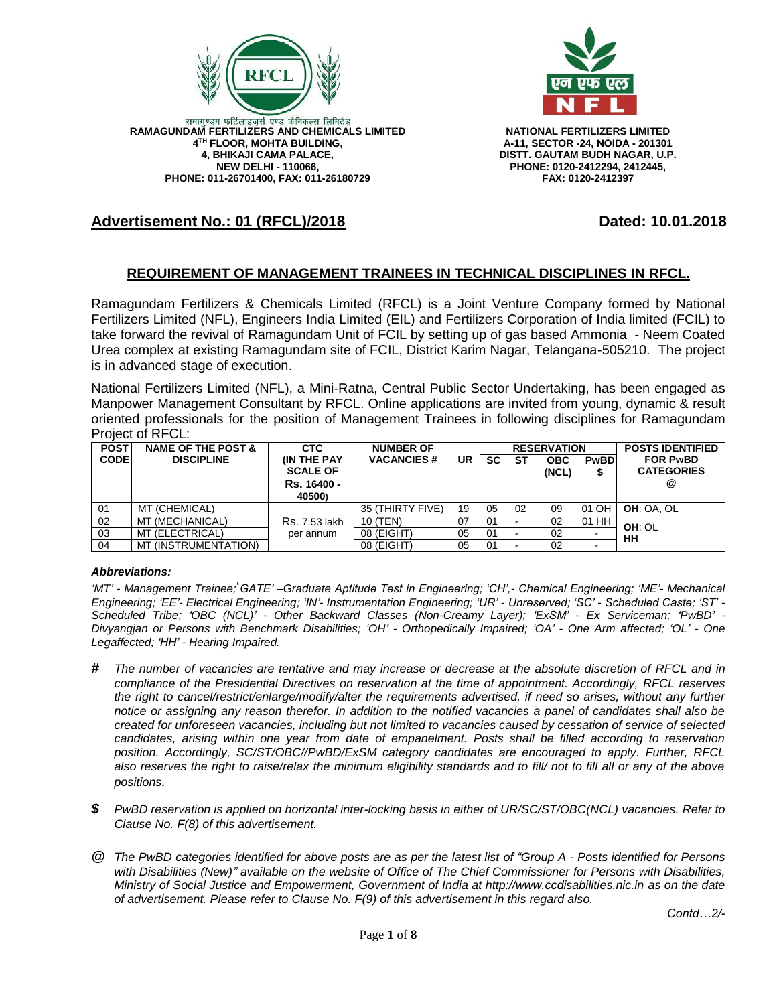



**A-11, SECTOR -24, NOIDA - 201301 DISTT. GAUTAM BUDH NAGAR, U.P. PHONE: 0120-2412294, 2412445, FAX: 0120-2412397**

# **Advertisement No.: 01 (RFCL)/2018 Dated: 10.01.2018**

#### **REQUIREMENT OF MANAGEMENT TRAINEES IN TECHNICAL DISCIPLINES IN RFCL.**

Ramagundam Fertilizers & Chemicals Limited (RFCL) is a Joint Venture Company formed by National Fertilizers Limited (NFL), Engineers India Limited (EIL) and Fertilizers Corporation of India limited (FCIL) to take forward the revival of Ramagundam Unit of FCIL by setting up of gas based Ammonia - Neem Coated Urea complex at existing Ramagundam site of FCIL, District Karim Nagar, Telangana-505210. The project is in advanced stage of execution.

National Fertilizers Limited (NFL), a Mini-Ratna, Central Public Sector Undertaking, has been engaged as Manpower Management Consultant by RFCL. Online applications are invited from young, dynamic & result oriented professionals for the position of Management Trainees in following disciplines for Ramagundam Project of RFCL:

| <b>POST</b> | <b>NAME OF THE POST &amp;</b> | <b>CTC</b>                                          | <b>NUMBER OF</b>  |    | <b>RESERVATION</b> |    |                     | <b>POSTS IDENTIFIED</b> |                                           |
|-------------|-------------------------------|-----------------------------------------------------|-------------------|----|--------------------|----|---------------------|-------------------------|-------------------------------------------|
| <b>CODE</b> | <b>DISCIPLINE</b>             | <b>IN THE PAY</b><br><b>SCALE OF</b><br>Rs. 16400 - | <b>VACANCIES#</b> | UR | <b>SC</b>          | SТ | <b>OBC</b><br>(NCL) | <b>PwBD</b><br>S        | <b>FOR PwBD</b><br><b>CATEGORIES</b><br>@ |
|             |                               | 40500)                                              |                   |    |                    |    |                     |                         |                                           |
| 01          | MT (CHEMICAL)                 |                                                     | 35 (THIRTY FIVE)  | 19 | 05                 | 02 | 09                  | 01 OH                   | OH: OA. OL                                |
| 02          | MT (MECHANICAL)               | <b>Rs. 7.53 lakh</b>                                | 10 (TEN)          | 07 | 01                 |    | 02                  | 01 HH                   | OH: OL                                    |
| 03          | MT (ELECTRICAL)               | per annum                                           | 08 (EIGHT)        | 05 | 01                 |    | 02                  |                         | HН                                        |
| 04          | MT (INSTRUMENTATION)          |                                                     | 08 (EIGHT)        | 05 | 01                 |    | 02                  |                         |                                           |

#### *Abbreviations:*

*'MT' - Management Trainee;*'*GATE' –Graduate Aptitude Test in Engineering; 'CH',- Chemical Engineering; 'ME'- Mechanical Engineering; 'EE'- Electrical Engineering; 'IN'- Instrumentation Engineering; 'UR' - Unreserved; 'SC' - Scheduled Caste; 'ST' - Scheduled Tribe; 'OBC (NCL)' - Other Backward Classes (Non-Creamy Layer); 'ExSM' - Ex Serviceman; 'PwBD' - Divyangjan or Persons with Benchmark Disabilities; 'OH' - Orthopedically Impaired; 'OA' - One Arm affected; 'OL' - One Legaffected; 'HH' - Hearing Impaired.*

- *# The number of vacancies are tentative and may increase or decrease at the absolute discretion of RFCL and in compliance of the Presidential Directives on reservation at the time of appointment. Accordingly, RFCL reserves the right to cancel/restrict/enlarge/modify/alter the requirements advertised, if need so arises, without any further notice or assigning any reason therefor. In addition to the notified vacancies a panel of candidates shall also be created for unforeseen vacancies, including but not limited to vacancies caused by cessation of service of selected candidates, arising within one year from date of empanelment. Posts shall be filled according to reservation position. Accordingly, SC/ST/OBC//PwBD/ExSM category candidates are encouraged to apply. Further, RFCL also reserves the right to raise/relax the minimum eligibility standards and to fill/ not to fill all or any of the above positions.*
- *\$ PwBD reservation is applied on horizontal inter-locking basis in either of UR/SC/ST/OBC(NCL) vacancies. Refer to Clause No. F(8) of this advertisement.*
- *@ The PwBD categories identified for above posts are as per the latest list of "Group A - Posts identified for Persons with Disabilities (New)" available on the website of Office of The Chief Commissioner for Persons with Disabilities, Ministry of Social Justice and Empowerment, Government of India at http://www.ccdisabilities.nic.in as on the date of advertisement. Please refer to Clause No. F(9) of this advertisement in this regard also.*

*Contd…2/-*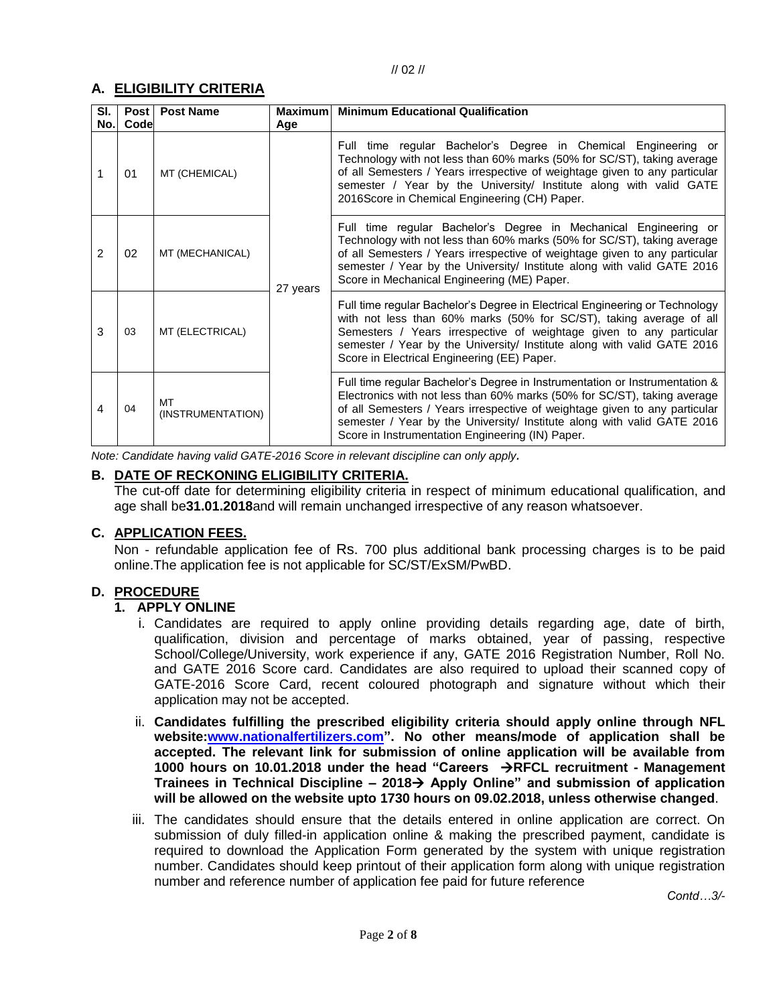# **A. ELIGIBILITY CRITERIA**

| SI.<br>No. | <b>Post</b><br>Code | <b>Post Name</b>        | <b>Maximum</b><br>Age | <b>Minimum Educational Qualification</b>                                                                                                                                                                                                                                                                                                                             |
|------------|---------------------|-------------------------|-----------------------|----------------------------------------------------------------------------------------------------------------------------------------------------------------------------------------------------------------------------------------------------------------------------------------------------------------------------------------------------------------------|
|            | 01                  | MT (CHEMICAL)           |                       | Full time regular Bachelor's Degree in Chemical Engineering or<br>Technology with not less than 60% marks (50% for SC/ST), taking average<br>of all Semesters / Years irrespective of weightage given to any particular<br>semester / Year by the University/ Institute along with valid GATE<br>2016Score in Chemical Engineering (CH) Paper.                       |
| 2          | 02                  | MT (MECHANICAL)         | 27 years              | Full time regular Bachelor's Degree in Mechanical Engineering or<br>Technology with not less than 60% marks (50% for SC/ST), taking average<br>of all Semesters / Years irrespective of weightage given to any particular<br>semester / Year by the University/ Institute along with valid GATE 2016<br>Score in Mechanical Engineering (ME) Paper.                  |
| 3          | 03                  | MT (ELECTRICAL)         |                       | Full time regular Bachelor's Degree in Electrical Engineering or Technology<br>with not less than 60% marks (50% for SC/ST), taking average of all<br>Semesters / Years irrespective of weightage given to any particular<br>semester / Year by the University/ Institute along with valid GATE 2016<br>Score in Electrical Engineering (EE) Paper.                  |
| 4          | 04                  | MT<br>(INSTRUMENTATION) |                       | Full time regular Bachelor's Degree in Instrumentation or Instrumentation &<br>Electronics with not less than 60% marks (50% for SC/ST), taking average<br>of all Semesters / Years irrespective of weightage given to any particular<br>semester / Year by the University/ Institute along with valid GATE 2016<br>Score in Instrumentation Engineering (IN) Paper. |

*Note: Candidate having valid GATE-2016 Score in relevant discipline can only apply.*

# **B. DATE OF RECKONING ELIGIBILITY CRITERIA.**

The cut-off date for determining eligibility criteria in respect of minimum educational qualification, and age shall be**31.01.2018**and will remain unchanged irrespective of any reason whatsoever.

#### **C. APPLICATION FEES.**

Non - refundable application fee of Rs. 700 plus additional bank processing charges is to be paid online.The application fee is not applicable for SC/ST/ExSM/PwBD.

#### **D. PROCEDURE**

#### **1. APPLY ONLINE**

- i. Candidates are required to apply online providing details regarding age, date of birth, qualification, division and percentage of marks obtained, year of passing, respective School/College/University, work experience if any, GATE 2016 Registration Number, Roll No. and GATE 2016 Score card. Candidates are also required to upload their scanned copy of GATE-2016 Score Card, recent coloured photograph and signature without which their application may not be accepted.
- ii. **Candidates fulfilling the prescribed eligibility criteria should apply online through NFL website[:www.nationalfertilizers.com"](http://www.nationalfertilizers.com/). No other means/mode of application shall be accepted. The relevant link for submission of online application will be available from 1000 hours on 10.01.2018 under the head "Careers RFCL recruitment - Management Trainees in Technical Discipline – 2018 Apply Online" and submission of application will be allowed on the website upto 1730 hours on 09.02.2018, unless otherwise changed**.
- iii. The candidates should ensure that the details entered in online application are correct. On submission of duly filled-in application online & making the prescribed payment, candidate is required to download the Application Form generated by the system with unique registration number. Candidates should keep printout of their application form along with unique registration number and reference number of application fee paid for future reference

*Contd…3/-*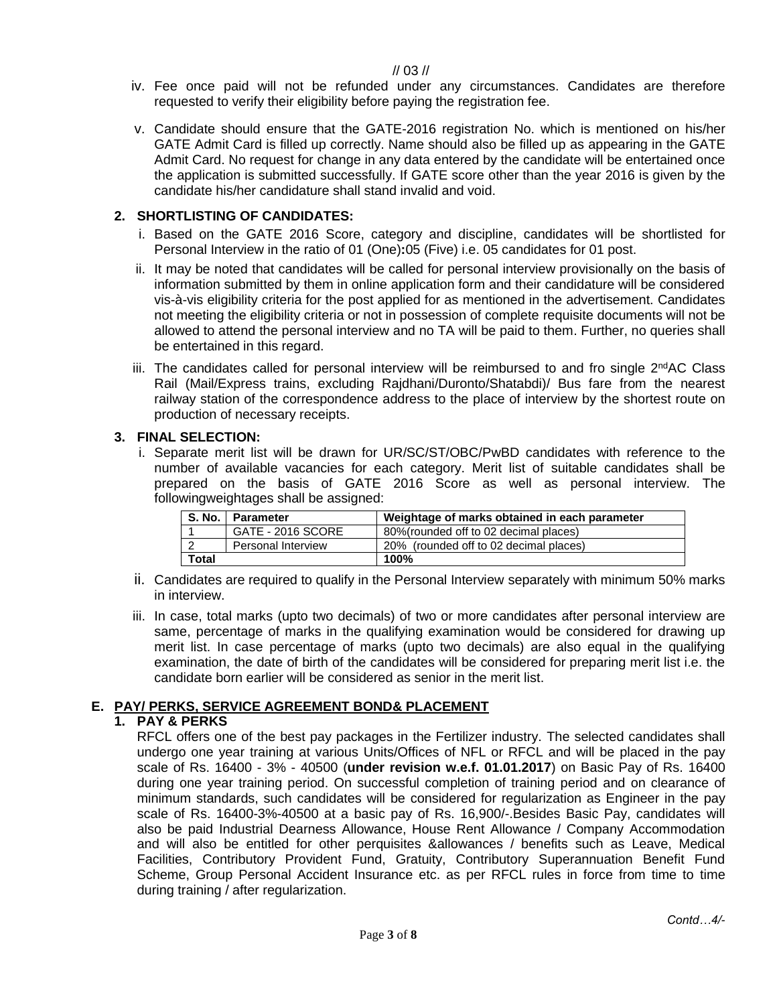// 03 //

- iv. Fee once paid will not be refunded under any circumstances. Candidates are therefore requested to verify their eligibility before paying the registration fee.
- v. Candidate should ensure that the GATE-2016 registration No. which is mentioned on his/her GATE Admit Card is filled up correctly. Name should also be filled up as appearing in the GATE Admit Card. No request for change in any data entered by the candidate will be entertained once the application is submitted successfully. If GATE score other than the year 2016 is given by the candidate his/her candidature shall stand invalid and void.

# **2. SHORTLISTING OF CANDIDATES:**

- i. Based on the GATE 2016 Score, category and discipline, candidates will be shortlisted for Personal Interview in the ratio of 01 (One)**:**05 (Five) i.e. 05 candidates for 01 post.
- ii. It may be noted that candidates will be called for personal interview provisionally on the basis of information submitted by them in online application form and their candidature will be considered vis-à-vis eligibility criteria for the post applied for as mentioned in the advertisement. Candidates not meeting the eligibility criteria or not in possession of complete requisite documents will not be allowed to attend the personal interview and no TA will be paid to them. Further, no queries shall be entertained in this regard.
- iii. The candidates called for personal interview will be reimbursed to and fro single  $2^{nd}AC$  Class Rail (Mail/Express trains, excluding Rajdhani/Duronto/Shatabdi)/ Bus fare from the nearest railway station of the correspondence address to the place of interview by the shortest route on production of necessary receipts.

#### **3. FINAL SELECTION:**

i. Separate merit list will be drawn for UR/SC/ST/OBC/PwBD candidates with reference to the number of available vacancies for each category. Merit list of suitable candidates shall be prepared on the basis of GATE 2016 Score as well as personal interview. The followingweightages shall be assigned:

|       | S. No.   Parameter        | Weightage of marks obtained in each parameter |  |  |  |  |
|-------|---------------------------|-----------------------------------------------|--|--|--|--|
|       | GATE - 2016 SCORE         | 80% (rounded off to 02 decimal places)        |  |  |  |  |
|       | <b>Personal Interview</b> | 20% (rounded off to 02 decimal places)        |  |  |  |  |
| Total |                           | 100%                                          |  |  |  |  |

- ii. Candidates are required to qualify in the Personal Interview separately with minimum 50% marks in interview.
- iii. In case, total marks (upto two decimals) of two or more candidates after personal interview are same, percentage of marks in the qualifying examination would be considered for drawing up merit list. In case percentage of marks (upto two decimals) are also equal in the qualifying examination, the date of birth of the candidates will be considered for preparing merit list i.e. the candidate born earlier will be considered as senior in the merit list.

#### **E. PAY/ PERKS, SERVICE AGREEMENT BOND& PLACEMENT**

# **1. PAY & PERKS**

RFCL offers one of the best pay packages in the Fertilizer industry. The selected candidates shall undergo one year training at various Units/Offices of NFL or RFCL and will be placed in the pay scale of Rs. 16400 - 3% - 40500 (**under revision w.e.f. 01.01.2017**) on Basic Pay of Rs. 16400 during one year training period. On successful completion of training period and on clearance of minimum standards, such candidates will be considered for regularization as Engineer in the pay scale of Rs. 16400-3%-40500 at a basic pay of Rs. 16,900/-.Besides Basic Pay, candidates will also be paid Industrial Dearness Allowance, House Rent Allowance / Company Accommodation and will also be entitled for other perquisites &allowances / benefits such as Leave, Medical Facilities, Contributory Provident Fund, Gratuity, Contributory Superannuation Benefit Fund Scheme, Group Personal Accident Insurance etc. as per RFCL rules in force from time to time during training / after regularization.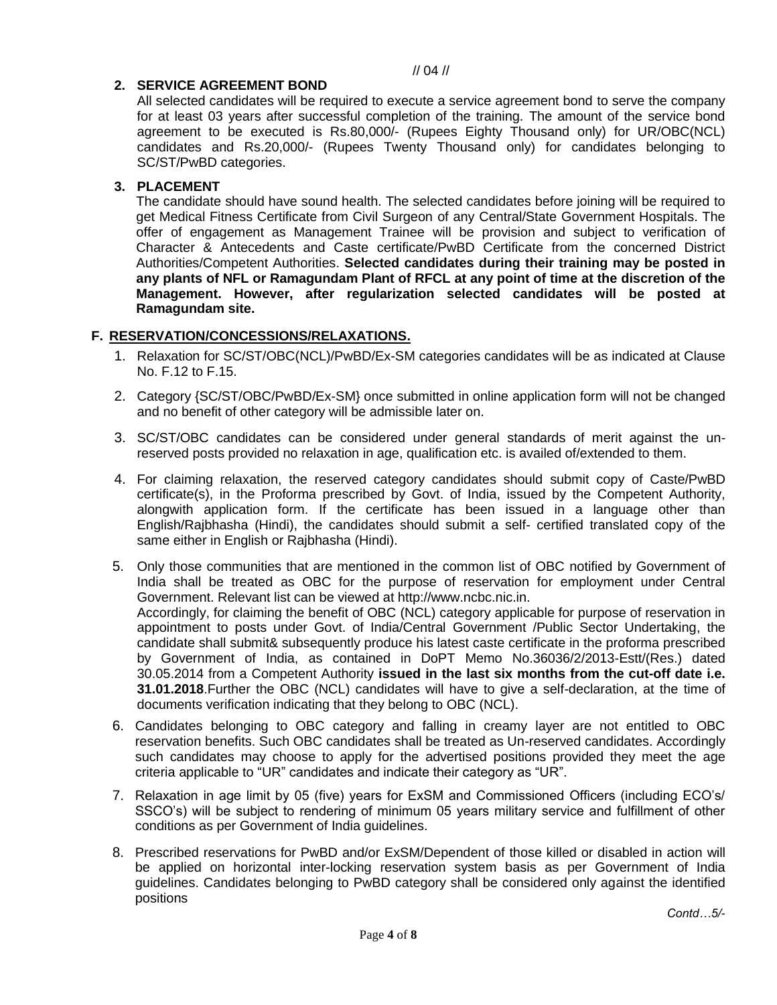## **2. SERVICE AGREEMENT BOND**

All selected candidates will be required to execute a service agreement bond to serve the company for at least 03 years after successful completion of the training. The amount of the service bond agreement to be executed is Rs.80,000/- (Rupees Eighty Thousand only) for UR/OBC(NCL) candidates and Rs.20,000/- (Rupees Twenty Thousand only) for candidates belonging to SC/ST/PwBD categories.

## **3. PLACEMENT**

The candidate should have sound health. The selected candidates before joining will be required to get Medical Fitness Certificate from Civil Surgeon of any Central/State Government Hospitals. The offer of engagement as Management Trainee will be provision and subject to verification of Character & Antecedents and Caste certificate/PwBD Certificate from the concerned District Authorities/Competent Authorities. **Selected candidates during their training may be posted in any plants of NFL or Ramagundam Plant of RFCL at any point of time at the discretion of the Management. However, after regularization selected candidates will be posted at Ramagundam site.**

## **F. RESERVATION/CONCESSIONS/RELAXATIONS.**

- 1. Relaxation for SC/ST/OBC(NCL)/PwBD/Ex-SM categories candidates will be as indicated at Clause No. F.12 to F.15.
- 2. Category {SC/ST/OBC/PwBD/Ex-SM} once submitted in online application form will not be changed and no benefit of other category will be admissible later on.
- 3. SC/ST/OBC candidates can be considered under general standards of merit against the unreserved posts provided no relaxation in age, qualification etc. is availed of/extended to them.
- 4. For claiming relaxation, the reserved category candidates should submit copy of Caste/PwBD certificate(s), in the Proforma prescribed by Govt. of India, issued by the Competent Authority, alongwith application form. If the certificate has been issued in a language other than English/Rajbhasha (Hindi), the candidates should submit a self- certified translated copy of the same either in English or Rajbhasha (Hindi).
- 5. Only those communities that are mentioned in the common list of OBC notified by Government of India shall be treated as OBC for the purpose of reservation for employment under Central Government. Relevant list can be viewed at http://www.ncbc.nic.in. Accordingly, for claiming the benefit of OBC (NCL) category applicable for purpose of reservation in appointment to posts under Govt. of India/Central Government /Public Sector Undertaking, the candidate shall submit& subsequently produce his latest caste certificate in the proforma prescribed by Government of India, as contained in DoPT Memo No.36036/2/2013-Estt/(Res.) dated 30.05.2014 from a Competent Authority **issued in the last six months from the cut-off date i.e. 31.01.2018**.Further the OBC (NCL) candidates will have to give a self-declaration, at the time of documents verification indicating that they belong to OBC (NCL).
- 6. Candidates belonging to OBC category and falling in creamy layer are not entitled to OBC reservation benefits. Such OBC candidates shall be treated as Un-reserved candidates. Accordingly such candidates may choose to apply for the advertised positions provided they meet the age criteria applicable to "UR" candidates and indicate their category as "UR".
- 7. Relaxation in age limit by 05 (five) years for ExSM and Commissioned Officers (including ECO's/ SSCO's) will be subject to rendering of minimum 05 years military service and fulfillment of other conditions as per Government of India guidelines.
- 8. Prescribed reservations for PwBD and/or ExSM/Dependent of those killed or disabled in action will be applied on horizontal inter-locking reservation system basis as per Government of India guidelines. Candidates belonging to PwBD category shall be considered only against the identified positions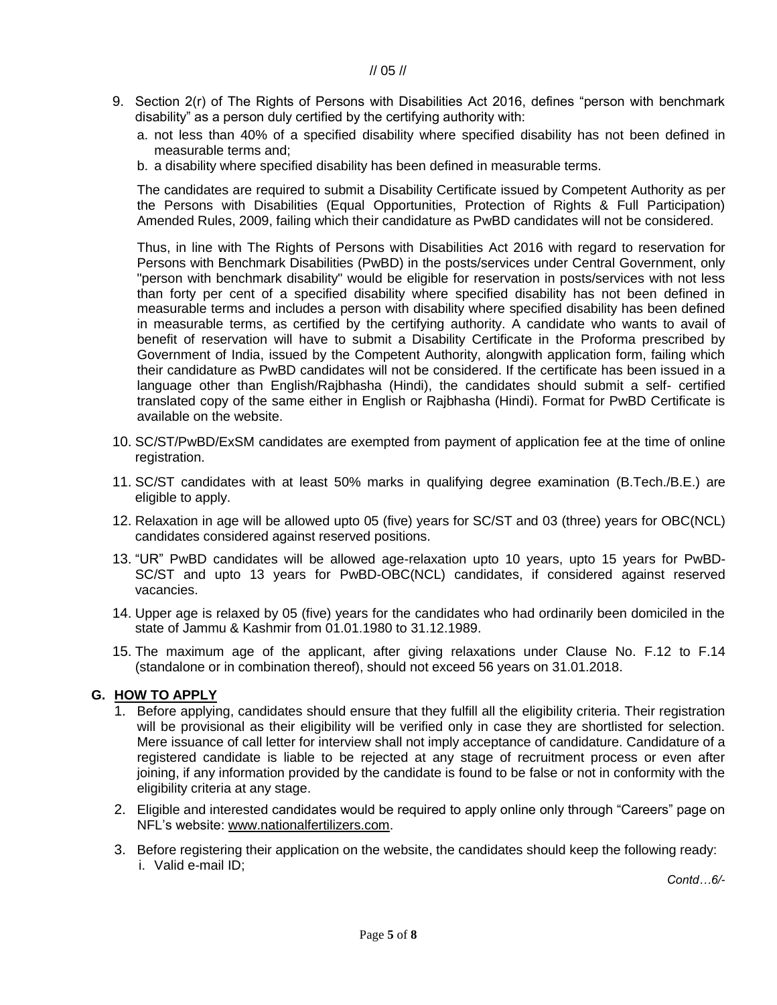- 9. Section 2(r) of The Rights of Persons with Disabilities Act 2016, defines "person with benchmark disability" as a person duly certified by the certifying authority with:
	- a. not less than 40% of a specified disability where specified disability has not been defined in measurable terms and;
	- b. a disability where specified disability has been defined in measurable terms.

The candidates are required to submit a Disability Certificate issued by Competent Authority as per the Persons with Disabilities (Equal Opportunities, Protection of Rights & Full Participation) Amended Rules, 2009, failing which their candidature as PwBD candidates will not be considered.

Thus, in line with The Rights of Persons with Disabilities Act 2016 with regard to reservation for Persons with Benchmark Disabilities (PwBD) in the posts/services under Central Government, only "person with benchmark disability" would be eligible for reservation in posts/services with not less than forty per cent of a specified disability where specified disability has not been defined in measurable terms and includes a person with disability where specified disability has been defined in measurable terms, as certified by the certifying authority. A candidate who wants to avail of benefit of reservation will have to submit a Disability Certificate in the Proforma prescribed by Government of India, issued by the Competent Authority, alongwith application form, failing which their candidature as PwBD candidates will not be considered. If the certificate has been issued in a language other than English/Rajbhasha (Hindi), the candidates should submit a self- certified translated copy of the same either in English or Rajbhasha (Hindi). Format for PwBD Certificate is available on the website.

- 10. SC/ST/PwBD/ExSM candidates are exempted from payment of application fee at the time of online registration.
- 11. SC/ST candidates with at least 50% marks in qualifying degree examination (B.Tech./B.E.) are eligible to apply.
- 12. Relaxation in age will be allowed upto 05 (five) years for SC/ST and 03 (three) years for OBC(NCL) candidates considered against reserved positions.
- 13. "UR" PwBD candidates will be allowed age-relaxation upto 10 years, upto 15 years for PwBD-SC/ST and upto 13 years for PwBD-OBC(NCL) candidates, if considered against reserved vacancies.
- 14. Upper age is relaxed by 05 (five) years for the candidates who had ordinarily been domiciled in the state of Jammu & Kashmir from 01.01.1980 to 31.12.1989.
- 15. The maximum age of the applicant, after giving relaxations under Clause No. F.12 to F.14 (standalone or in combination thereof), should not exceed 56 years on 31.01.2018.

#### **G. HOW TO APPLY**

- 1. Before applying, candidates should ensure that they fulfill all the eligibility criteria. Their registration will be provisional as their eligibility will be verified only in case they are shortlisted for selection. Mere issuance of call letter for interview shall not imply acceptance of candidature. Candidature of a registered candidate is liable to be rejected at any stage of recruitment process or even after joining, if any information provided by the candidate is found to be false or not in conformity with the eligibility criteria at any stage.
- 2. Eligible and interested candidates would be required to apply online only through "Careers" page on NFL's website: [www.nationalfertilizers.com.](http://www.nationalfertilizers.com/)
- 3. Before registering their application on the website, the candidates should keep the following ready: i. Valid e-mail ID;

*Contd…6/-*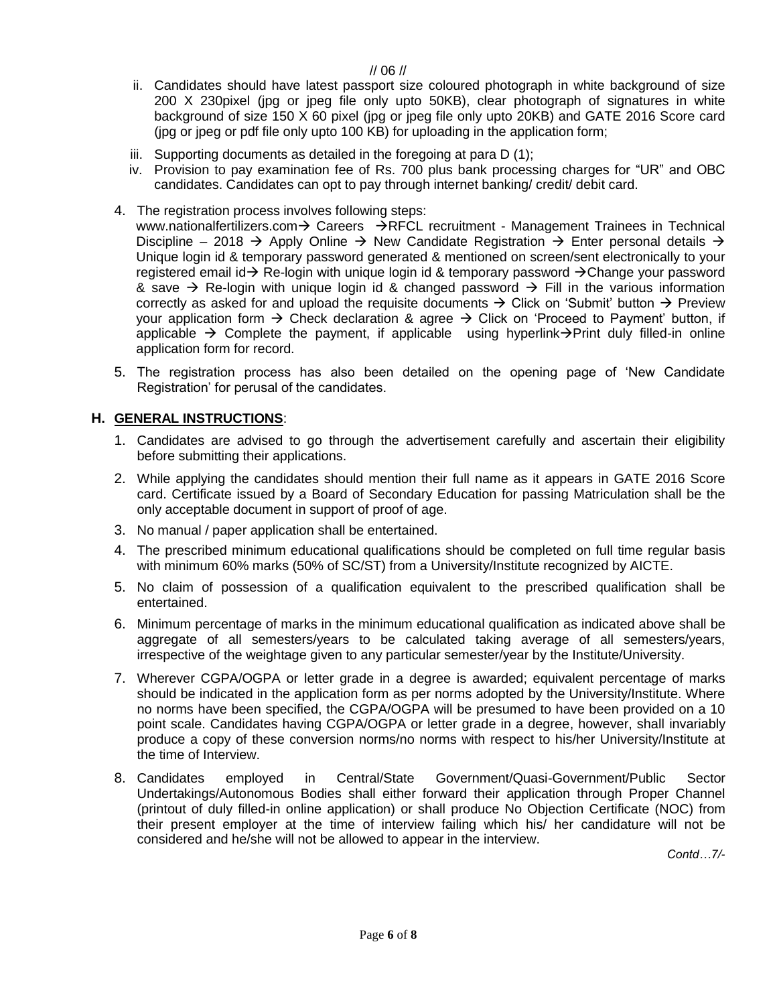#### // 06 //

- ii. Candidates should have latest passport size coloured photograph in white background of size 200 X 230pixel (jpg or jpeg file only upto 50KB), clear photograph of signatures in white background of size 150 X 60 pixel (jpg or jpeg file only upto 20KB) and GATE 2016 Score card (jpg or jpeg or pdf file only upto 100 KB) for uploading in the application form;
- iii. Supporting documents as detailed in the foregoing at para D (1);
- iv. Provision to pay examination fee of Rs. 700 plus bank processing charges for "UR" and OBC candidates. Candidates can opt to pay through internet banking/ credit/ debit card.
- 4. The registration process involves following steps:

[www.nationalfertilizers.com](http://www.nationalfertilizers.com/)  $\rightarrow$  Careers  $\rightarrow$  RFCL recruitment - Management Trainees in Technical Discipline – 2018  $\rightarrow$  Apply Online  $\rightarrow$  New Candidate Registration  $\rightarrow$  Enter personal details  $\rightarrow$ Unique login id & temporary password generated & mentioned on screen/sent electronically to your registered email id  $\rightarrow$  Re-login with unique login id & temporary password  $\rightarrow$  Change your password & save  $\rightarrow$  Re-login with unique login id & changed password  $\rightarrow$  Fill in the various information correctly as asked for and upload the requisite documents  $\rightarrow$  Click on 'Submit' button  $\rightarrow$  Preview your application form  $\rightarrow$  Check declaration & agree  $\rightarrow$  Click on 'Proceed to Payment' button, if applicable  $\rightarrow$  Complete the payment, if applicable using hyperlink $\rightarrow$ Print duly filled-in online application form for record.

5. The registration process has also been detailed on the opening page of 'New Candidate Registration' for perusal of the candidates.

#### **H. GENERAL INSTRUCTIONS**:

- 1. Candidates are advised to go through the advertisement carefully and ascertain their eligibility before submitting their applications.
- 2. While applying the candidates should mention their full name as it appears in GATE 2016 Score card. Certificate issued by a Board of Secondary Education for passing Matriculation shall be the only acceptable document in support of proof of age.
- 3. No manual / paper application shall be entertained.
- 4. The prescribed minimum educational qualifications should be completed on full time regular basis with minimum 60% marks (50% of SC/ST) from a University/Institute recognized by AICTE.
- 5. No claim of possession of a qualification equivalent to the prescribed qualification shall be entertained.
- 6. Minimum percentage of marks in the minimum educational qualification as indicated above shall be aggregate of all semesters/years to be calculated taking average of all semesters/years, irrespective of the weightage given to any particular semester/year by the Institute/University.
- 7. Wherever CGPA/OGPA or letter grade in a degree is awarded; equivalent percentage of marks should be indicated in the application form as per norms adopted by the University/Institute. Where no norms have been specified, the CGPA/OGPA will be presumed to have been provided on a 10 point scale. Candidates having CGPA/OGPA or letter grade in a degree, however, shall invariably produce a copy of these conversion norms/no norms with respect to his/her University/Institute at the time of Interview.
- 8. Candidates employed in Central/State Government/Quasi-Government/Public Sector Undertakings/Autonomous Bodies shall either forward their application through Proper Channel (printout of duly filled-in online application) or shall produce No Objection Certificate (NOC) from their present employer at the time of interview failing which his/ her candidature will not be considered and he/she will not be allowed to appear in the interview.

*Contd…7/-*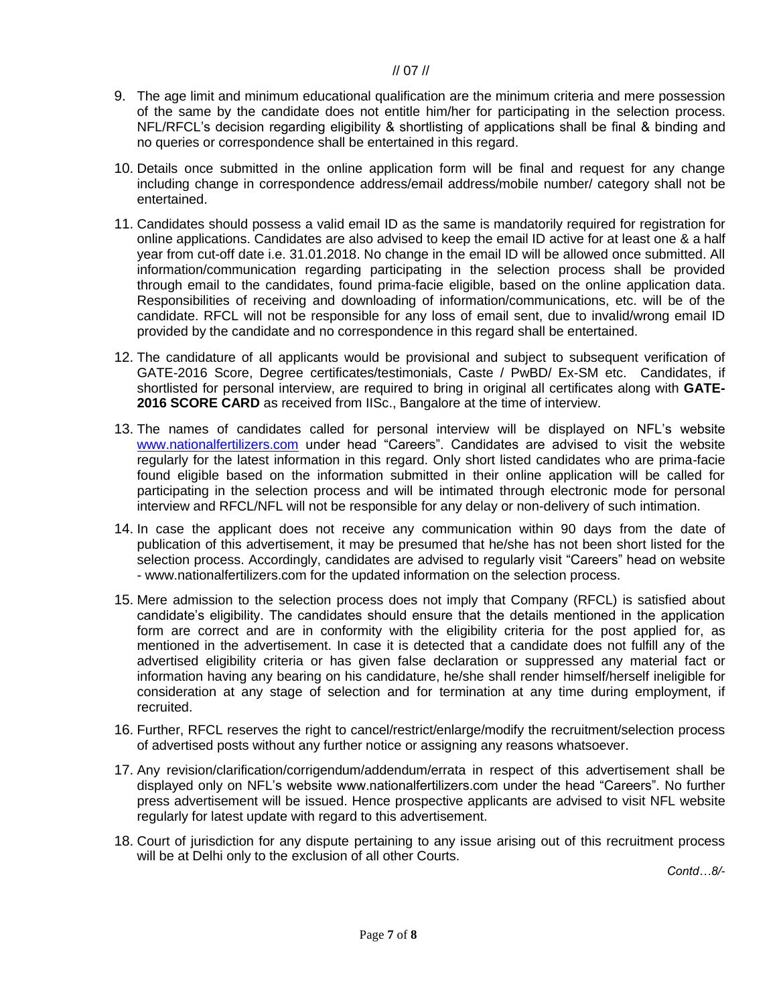#### // 07 //

- 9. The age limit and minimum educational qualification are the minimum criteria and mere possession of the same by the candidate does not entitle him/her for participating in the selection process. NFL/RFCL's decision regarding eligibility & shortlisting of applications shall be final & binding and no queries or correspondence shall be entertained in this regard.
- 10. Details once submitted in the online application form will be final and request for any change including change in correspondence address/email address/mobile number/ category shall not be entertained.
- 11. Candidates should possess a valid email ID as the same is mandatorily required for registration for online applications. Candidates are also advised to keep the email ID active for at least one & a half year from cut-off date i.e. 31.01.2018. No change in the email ID will be allowed once submitted. All information/communication regarding participating in the selection process shall be provided through email to the candidates, found prima-facie eligible, based on the online application data. Responsibilities of receiving and downloading of information/communications, etc. will be of the candidate. RFCL will not be responsible for any loss of email sent, due to invalid/wrong email ID provided by the candidate and no correspondence in this regard shall be entertained.
- 12. The candidature of all applicants would be provisional and subject to subsequent verification of GATE-2016 Score, Degree certificates/testimonials, Caste / PwBD/ Ex-SM etc. Candidates, if shortlisted for personal interview, are required to bring in original all certificates along with **GATE-2016 SCORE CARD** as received from IISc., Bangalore at the time of interview.
- 13. The names of candidates called for personal interview will be displayed on NFL's website [www.nationalfertilizers.com](http://www.nationalfertilizers.com/) under head "Careers". Candidates are advised to visit the website regularly for the latest information in this regard. Only short listed candidates who are prima-facie found eligible based on the information submitted in their online application will be called for participating in the selection process and will be intimated through electronic mode for personal interview and RFCL/NFL will not be responsible for any delay or non-delivery of such intimation.
- 14. In case the applicant does not receive any communication within 90 days from the date of publication of this advertisement, it may be presumed that he/she has not been short listed for the selection process. Accordingly, candidates are advised to regularly visit "Careers" head on website - www.nationalfertilizers.com for the updated information on the selection process.
- 15. Mere admission to the selection process does not imply that Company (RFCL) is satisfied about candidate's eligibility. The candidates should ensure that the details mentioned in the application form are correct and are in conformity with the eligibility criteria for the post applied for, as mentioned in the advertisement. In case it is detected that a candidate does not fulfill any of the advertised eligibility criteria or has given false declaration or suppressed any material fact or information having any bearing on his candidature, he/she shall render himself/herself ineligible for consideration at any stage of selection and for termination at any time during employment, if recruited.
- 16. Further, RFCL reserves the right to cancel/restrict/enlarge/modify the recruitment/selection process of advertised posts without any further notice or assigning any reasons whatsoever.
- 17. Any revision/clarification/corrigendum/addendum/errata in respect of this advertisement shall be displayed only on NFL's website www.nationalfertilizers.com under the head "Careers". No further press advertisement will be issued. Hence prospective applicants are advised to visit NFL website regularly for latest update with regard to this advertisement.
- 18. Court of jurisdiction for any dispute pertaining to any issue arising out of this recruitment process will be at Delhi only to the exclusion of all other Courts.

*Contd…8/-*